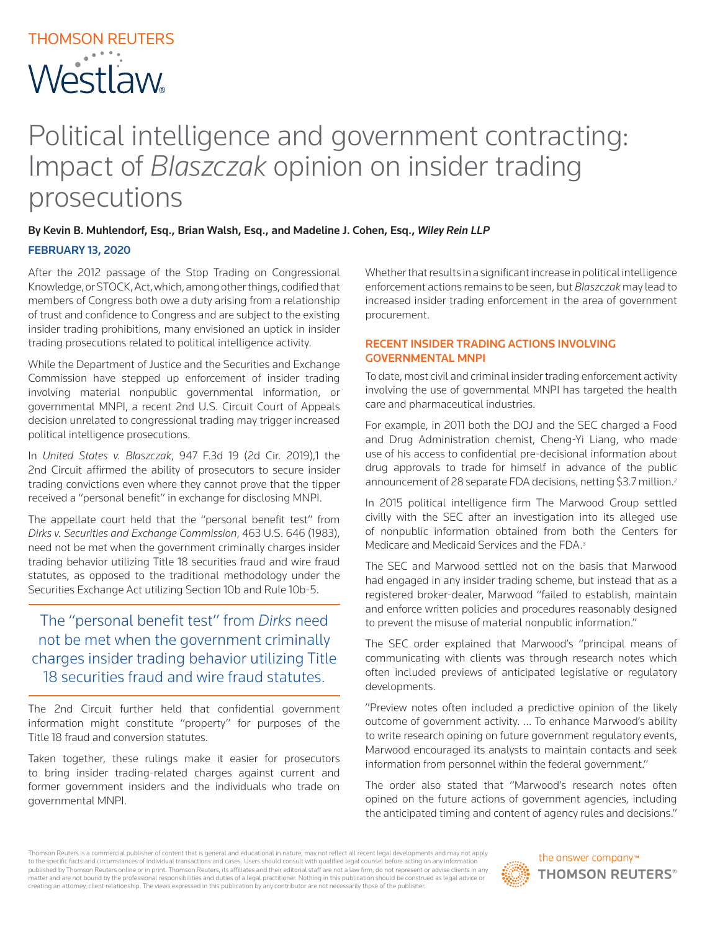# THOMSON REUTERS **Westlaw**

## Political intelligence and government contracting: Impact of *Blaszczak* opinion on insider trading prosecutions

### By Kevin B. Muhlendorf, Esq., Brian Walsh, Esq., and Madeline J. Cohen, Esq., *Wiley Rein LLP*

#### FEBRUARY 13, 2020

After the 2012 passage of the Stop Trading on Congressional Knowledge, or STOCK, Act, which, among other things, codified that members of Congress both owe a duty arising from a relationship of trust and confidence to Congress and are subject to the existing insider trading prohibitions, many envisioned an uptick in insider trading prosecutions related to political intelligence activity.

While the Department of Justice and the Securities and Exchange Commission have stepped up enforcement of insider trading involving material nonpublic governmental information, or governmental MNPI, a recent 2nd U.S. Circuit Court of Appeals decision unrelated to congressional trading may trigger increased political intelligence prosecutions.

In *United States v. Blaszczak*, 947 F.3d 19 (2d Cir. 2019),1 the 2nd Circuit affirmed the ability of prosecutors to secure insider trading convictions even where they cannot prove that the tipper received a "personal benefit" in exchange for disclosing MNPI.

The appellate court held that the "personal benefit test" from *Dirks v. Securities and Exchange Commission*, 463 U.S. 646 (1983), need not be met when the government criminally charges insider trading behavior utilizing Title 18 securities fraud and wire fraud statutes, as opposed to the traditional methodology under the Securities Exchange Act utilizing Section 10b and Rule 10b-5.

The "personal benefit test" from *Dirks* need not be met when the government criminally charges insider trading behavior utilizing Title 18 securities fraud and wire fraud statutes.

The 2nd Circuit further held that confidential government information might constitute "property" for purposes of the Title 18 fraud and conversion statutes.

Taken together, these rulings make it easier for prosecutors to bring insider trading-related charges against current and former government insiders and the individuals who trade on governmental MNPI.

Whether that results in a significant increase in political intelligence enforcement actions remains to be seen, but *Blaszczak* may lead to increased insider trading enforcement in the area of government procurement.

#### RECENT INSIDER TRADING ACTIONS INVOLVING GOVERNMENTAL MNPI

To date, most civil and criminal insider trading enforcement activity involving the use of governmental MNPI has targeted the health care and pharmaceutical industries.

For example, in 2011 both the DOJ and the SEC charged a Food and Drug Administration chemist, Cheng-Yi Liang, who made use of his access to confidential pre-decisional information about drug approvals to trade for himself in advance of the public announcement of 28 separate FDA decisions, netting \$3.7 million.<sup>2</sup>

In 2015 political intelligence firm The Marwood Group settled civilly with the SEC after an investigation into its alleged use of nonpublic information obtained from both the Centers for Medicare and Medicaid Services and the FDA.<sup>3</sup>

The SEC and Marwood settled not on the basis that Marwood had engaged in any insider trading scheme, but instead that as a registered broker-dealer, Marwood "failed to establish, maintain and enforce written policies and procedures reasonably designed to prevent the misuse of material nonpublic information."

The SEC order explained that Marwood's "principal means of communicating with clients was through research notes which often included previews of anticipated legislative or regulatory developments.

"Preview notes often included a predictive opinion of the likely outcome of government activity. … To enhance Marwood's ability to write research opining on future government regulatory events, Marwood encouraged its analysts to maintain contacts and seek information from personnel within the federal government."

The order also stated that "Marwood's research notes often opined on the future actions of government agencies, including the anticipated timing and content of agency rules and decisions."

Thomson Reuters is a commercial publisher of content that is general and educational in nature, may not reflect all recent legal developments and may not apply to the specific facts and circumstances of individual transactions and cases. Users should consult with qualified legal counsel before acting on any information<br>published by Thomson Reuters online or in print. Thomson Reut matter and are not bound by the professional responsibilities and duties of a legal practitioner. Nothing in this publication should be construed as legal advice or creating an attorney-client relationship. The views expressed in this publication by any contributor are not necessarily those of the publisher.

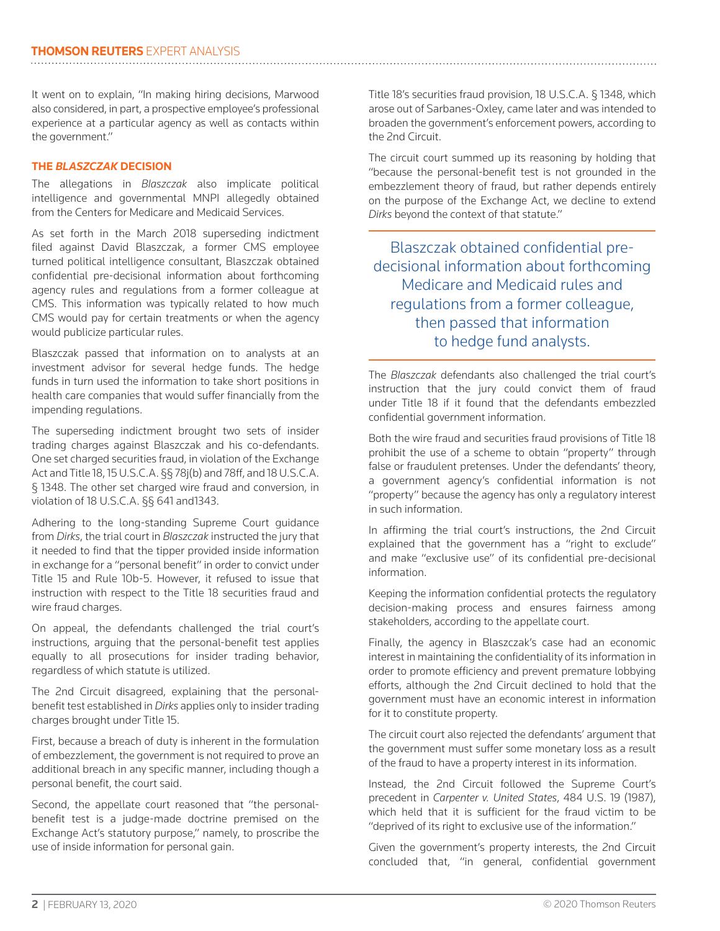It went on to explain, "In making hiring decisions, Marwood also considered, in part, a prospective employee's professional experience at a particular agency as well as contacts within the government."

#### **THE** *BLASZCZAK* **DECISION**

The allegations in *Blaszczak* also implicate political intelligence and governmental MNPI allegedly obtained from the Centers for Medicare and Medicaid Services.

As set forth in the March 2018 superseding indictment filed against David Blaszczak, a former CMS employee turned political intelligence consultant, Blaszczak obtained confidential pre-decisional information about forthcoming agency rules and regulations from a former colleague at CMS. This information was typically related to how much CMS would pay for certain treatments or when the agency would publicize particular rules.

Blaszczak passed that information on to analysts at an investment advisor for several hedge funds. The hedge funds in turn used the information to take short positions in health care companies that would suffer financially from the impending regulations.

The superseding indictment brought two sets of insider trading charges against Blaszczak and his co-defendants. One set charged securities fraud, in violation of the Exchange Act and Title 18, 15 U.S.C.A. §§ 78j(b) and 78ff, and 18 U.S.C.A. § 1348. The other set charged wire fraud and conversion, in violation of 18 U.S.C.A. §§ 641 and1343.

Adhering to the long-standing Supreme Court guidance from *Dirks*, the trial court in *Blaszczak* instructed the jury that it needed to find that the tipper provided inside information in exchange for a "personal benefit" in order to convict under Title 15 and Rule 10b-5. However, it refused to issue that instruction with respect to the Title 18 securities fraud and wire fraud charges.

On appeal, the defendants challenged the trial court's instructions, arguing that the personal-benefit test applies equally to all prosecutions for insider trading behavior, regardless of which statute is utilized.

The 2nd Circuit disagreed, explaining that the personalbenefit test established in *Dirks* applies only to insider trading charges brought under Title 15.

First, because a breach of duty is inherent in the formulation of embezzlement, the government is not required to prove an additional breach in any specific manner, including though a personal benefit, the court said.

Second, the appellate court reasoned that "the personalbenefit test is a judge-made doctrine premised on the Exchange Act's statutory purpose," namely, to proscribe the use of inside information for personal gain.

Title 18's securities fraud provision, 18 U.S.C.A. § 1348, which arose out of Sarbanes-Oxley, came later and was intended to broaden the government's enforcement powers, according to the 2nd Circuit.

The circuit court summed up its reasoning by holding that "because the personal-benefit test is not grounded in the embezzlement theory of fraud, but rather depends entirely on the purpose of the Exchange Act, we decline to extend *Dirks* beyond the context of that statute."

Blaszczak obtained confidential predecisional information about forthcoming Medicare and Medicaid rules and regulations from a former colleague, then passed that information to hedge fund analysts.

The *Blaszczak* defendants also challenged the trial court's instruction that the jury could convict them of fraud under Title 18 if it found that the defendants embezzled confidential government information.

Both the wire fraud and securities fraud provisions of Title 18 prohibit the use of a scheme to obtain "property" through false or fraudulent pretenses. Under the defendants' theory, a government agency's confidential information is not "property" because the agency has only a regulatory interest in such information.

In affirming the trial court's instructions, the 2nd Circuit explained that the government has a "right to exclude" and make "exclusive use" of its confidential pre-decisional information.

Keeping the information confidential protects the regulatory decision-making process and ensures fairness among stakeholders, according to the appellate court.

Finally, the agency in Blaszczak's case had an economic interest in maintaining the confidentiality of its information in order to promote efficiency and prevent premature lobbying efforts, although the 2nd Circuit declined to hold that the government must have an economic interest in information for it to constitute property.

The circuit court also rejected the defendants' argument that the government must suffer some monetary loss as a result of the fraud to have a property interest in its information.

Instead, the 2nd Circuit followed the Supreme Court's precedent in *Carpenter v. United States*, 484 U.S. 19 (1987), which held that it is sufficient for the fraud victim to be "deprived of its right to exclusive use of the information."

Given the government's property interests, the 2nd Circuit concluded that, "in general, confidential government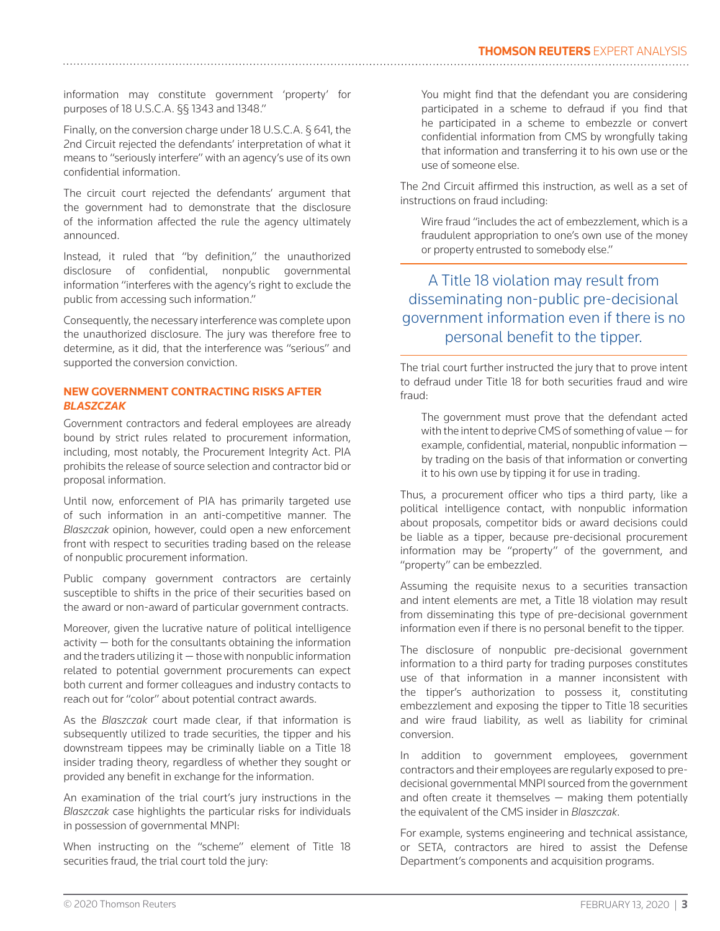information may constitute government 'property' for purposes of 18 U.S.C.A. §§ 1343 and 1348."

Finally, on the conversion charge under 18 U.S.C.A. § 641, the 2nd Circuit rejected the defendants' interpretation of what it means to "seriously interfere" with an agency's use of its own confidential information.

The circuit court rejected the defendants' argument that the government had to demonstrate that the disclosure of the information affected the rule the agency ultimately announced.

Instead, it ruled that "by definition," the unauthorized disclosure of confidential, nonpublic governmental information "interferes with the agency's right to exclude the public from accessing such information."

Consequently, the necessary interference was complete upon the unauthorized disclosure. The jury was therefore free to determine, as it did, that the interference was "serious" and supported the conversion conviction.

#### **NEW GOVERNMENT CONTRACTING RISKS AFTER**  *BLASZCZAK*

Government contractors and federal employees are already bound by strict rules related to procurement information, including, most notably, the Procurement Integrity Act. PIA prohibits the release of source selection and contractor bid or proposal information.

Until now, enforcement of PIA has primarily targeted use of such information in an anti-competitive manner. The *Blaszczak* opinion, however, could open a new enforcement front with respect to securities trading based on the release of nonpublic procurement information.

Public company government contractors are certainly susceptible to shifts in the price of their securities based on the award or non-award of particular government contracts.

Moreover, given the lucrative nature of political intelligence activity — both for the consultants obtaining the information and the traders utilizing it — those with nonpublic information related to potential government procurements can expect both current and former colleagues and industry contacts to reach out for "color" about potential contract awards.

As the *Blaszczak* court made clear, if that information is subsequently utilized to trade securities, the tipper and his downstream tippees may be criminally liable on a Title 18 insider trading theory, regardless of whether they sought or provided any benefit in exchange for the information.

An examination of the trial court's jury instructions in the *Blaszczak* case highlights the particular risks for individuals in possession of governmental MNPI:

When instructing on the "scheme" element of Title 18 securities fraud, the trial court told the jury:

You might find that the defendant you are considering participated in a scheme to defraud if you find that he participated in a scheme to embezzle or convert confidential information from CMS by wrongfully taking that information and transferring it to his own use or the use of someone else.

The 2nd Circuit affirmed this instruction, as well as a set of instructions on fraud including:

Wire fraud "includes the act of embezzlement, which is a fraudulent appropriation to one's own use of the money or property entrusted to somebody else."

## A Title 18 violation may result from disseminating non-public pre-decisional government information even if there is no personal benefit to the tipper.

The trial court further instructed the jury that to prove intent to defraud under Title 18 for both securities fraud and wire fraud:

The government must prove that the defendant acted with the intent to deprive CMS of something of value — for example, confidential, material, nonpublic information by trading on the basis of that information or converting it to his own use by tipping it for use in trading.

Thus, a procurement officer who tips a third party, like a political intelligence contact, with nonpublic information about proposals, competitor bids or award decisions could be liable as a tipper, because pre-decisional procurement information may be "property" of the government, and "property" can be embezzled.

Assuming the requisite nexus to a securities transaction and intent elements are met, a Title 18 violation may result from disseminating this type of pre-decisional government information even if there is no personal benefit to the tipper.

The disclosure of nonpublic pre-decisional government information to a third party for trading purposes constitutes use of that information in a manner inconsistent with the tipper's authorization to possess it, constituting embezzlement and exposing the tipper to Title 18 securities and wire fraud liability, as well as liability for criminal conversion.

In addition to government employees, government contractors and their employees are regularly exposed to predecisional governmental MNPI sourced from the government and often create it themselves  $-$  making them potentially the equivalent of the CMS insider in *Blaszczak*.

For example, systems engineering and technical assistance, or SETA, contractors are hired to assist the Defense Department's components and acquisition programs.